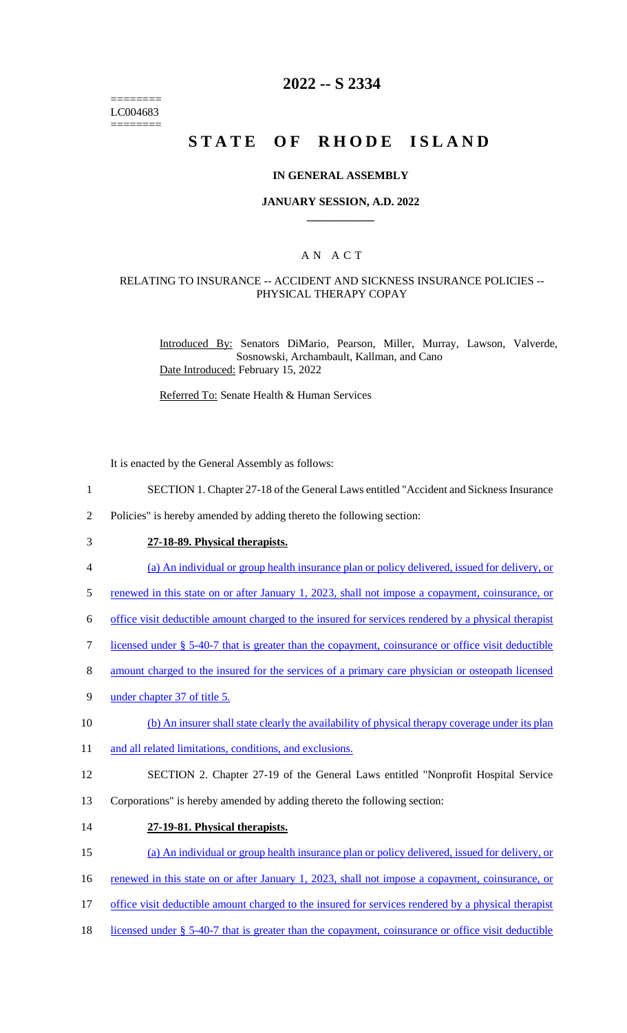======== LC004683 ========

# **2022 -- S 2334**

# **STATE OF RHODE ISLAND**

#### **IN GENERAL ASSEMBLY**

#### **JANUARY SESSION, A.D. 2022 \_\_\_\_\_\_\_\_\_\_\_\_**

### A N A C T

#### RELATING TO INSURANCE -- ACCIDENT AND SICKNESS INSURANCE POLICIES -- PHYSICAL THERAPY COPAY

Introduced By: Senators DiMario, Pearson, Miller, Murray, Lawson, Valverde, Sosnowski, Archambault, Kallman, and Cano Date Introduced: February 15, 2022

Referred To: Senate Health & Human Services

It is enacted by the General Assembly as follows:

- 1 SECTION 1. Chapter 27-18 of the General Laws entitled "Accident and Sickness Insurance
- 2 Policies" is hereby amended by adding thereto the following section:
- 3 **27-18-89. Physical therapists.**
- 4 (a) An individual or group health insurance plan or policy delivered, issued for delivery, or
- 5 renewed in this state on or after January 1, 2023, shall not impose a copayment, coinsurance, or
- 6 office visit deductible amount charged to the insured for services rendered by a physical therapist
- 7 licensed under § 5-40-7 that is greater than the copayment, coinsurance or office visit deductible
- 8 amount charged to the insured for the services of a primary care physician or osteopath licensed
- 9 under chapter 37 of title 5.
- 10 (b) An insurer shall state clearly the availability of physical therapy coverage under its plan
- 11 and all related limitations, conditions, and exclusions.
- 12 SECTION 2. Chapter 27-19 of the General Laws entitled "Nonprofit Hospital Service
- 13 Corporations" is hereby amended by adding thereto the following section:
- 14 **27-19-81. Physical therapists.**
- 15 (a) An individual or group health insurance plan or policy delivered, issued for delivery, or
- 16 renewed in this state on or after January 1, 2023, shall not impose a copayment, coinsurance, or
- 17 office visit deductible amount charged to the insured for services rendered by a physical therapist
- 18 licensed under § 5-40-7 that is greater than the copayment, coinsurance or office visit deductible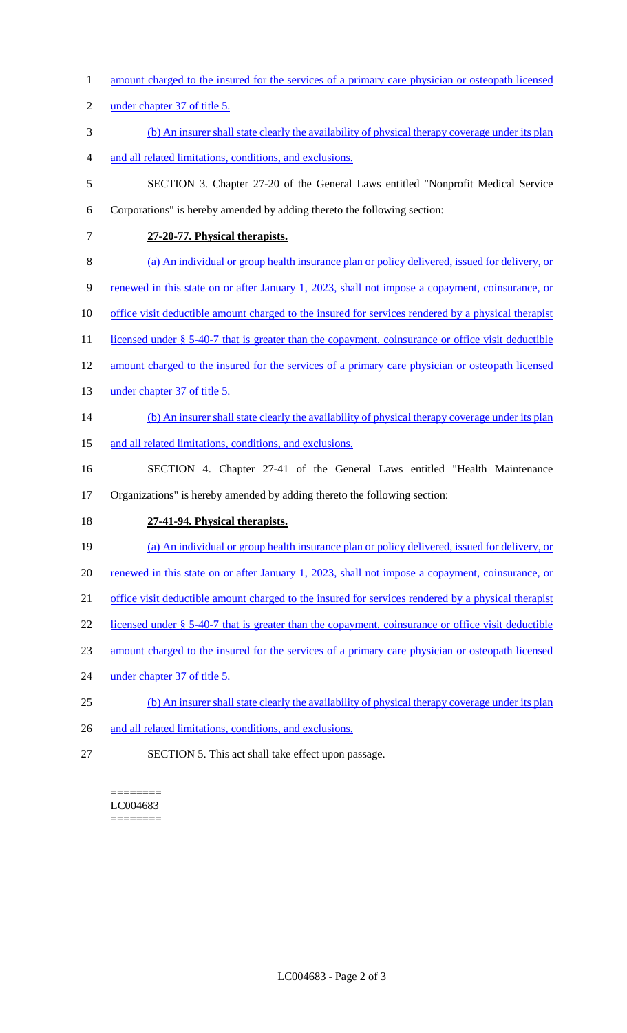- 1 amount charged to the insured for the services of a primary care physician or osteopath licensed
- 2 under chapter 37 of title 5.
- 3 (b) An insurer shall state clearly the availability of physical therapy coverage under its plan
- 4 and all related limitations, conditions, and exclusions.
- 5 SECTION 3. Chapter 27-20 of the General Laws entitled "Nonprofit Medical Service
- 6 Corporations" is hereby amended by adding thereto the following section:
- 

7 **27-20-77. Physical therapists.** 

- 8 (a) An individual or group health insurance plan or policy delivered, issued for delivery, or
- 9 renewed in this state on or after January 1, 2023, shall not impose a copayment, coinsurance, or
- 10 office visit deductible amount charged to the insured for services rendered by a physical therapist
- 11 licensed under § 5-40-7 that is greater than the copayment, coinsurance or office visit deductible
- 12 amount charged to the insured for the services of a primary care physician or osteopath licensed
- 13 under chapter 37 of title 5.
- 14 (b) An insurer shall state clearly the availability of physical therapy coverage under its plan
- 15 and all related limitations, conditions, and exclusions.
- 16 SECTION 4. Chapter 27-41 of the General Laws entitled "Health Maintenance 17 Organizations" is hereby amended by adding thereto the following section:
- 18 **27-41-94. Physical therapists.**
- 19 (a) An individual or group health insurance plan or policy delivered, issued for delivery, or
- 20 renewed in this state on or after January 1, 2023, shall not impose a copayment, coinsurance, or
- 21 office visit deductible amount charged to the insured for services rendered by a physical therapist
- 22 licensed under § 5-40-7 that is greater than the copayment, coinsurance or office visit deductible
- 23 amount charged to the insured for the services of a primary care physician or osteopath licensed
- 24 under chapter 37 of title 5.
- 25 (b) An insurer shall state clearly the availability of physical therapy coverage under its plan
- 26 and all related limitations, conditions, and exclusions.
- 27 SECTION 5. This act shall take effect upon passage.

======== LC004683 ========